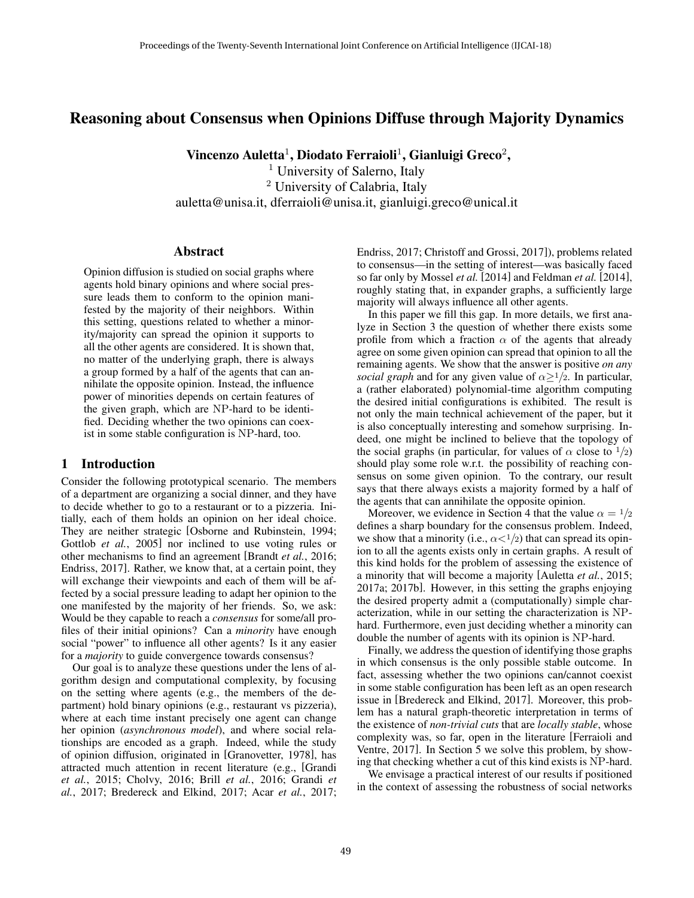# Reasoning about Consensus when Opinions Diffuse through Majority Dynamics

Vincenzo Auletta $^1$ , Diodato Ferraioli $^1$ , Gianluigi Greco $^2$ ,

<sup>1</sup> University of Salerno, Italy <sup>2</sup> University of Calabria, Italy auletta@unisa.it, dferraioli@unisa.it, gianluigi.greco@unical.it

### Abstract

Opinion diffusion is studied on social graphs where agents hold binary opinions and where social pressure leads them to conform to the opinion manifested by the majority of their neighbors. Within this setting, questions related to whether a minority/majority can spread the opinion it supports to all the other agents are considered. It is shown that, no matter of the underlying graph, there is always a group formed by a half of the agents that can annihilate the opposite opinion. Instead, the influence power of minorities depends on certain features of the given graph, which are NP-hard to be identified. Deciding whether the two opinions can coexist in some stable configuration is NP-hard, too.

## 1 Introduction

Consider the following prototypical scenario. The members of a department are organizing a social dinner, and they have to decide whether to go to a restaurant or to a pizzeria. Initially, each of them holds an opinion on her ideal choice. They are neither strategic [Osborne and Rubinstein, 1994; Gottlob *et al.*, 2005] nor inclined to use voting rules or other mechanisms to find an agreement [Brandt *et al.*, 2016; Endriss, 2017]. Rather, we know that, at a certain point, they will exchange their viewpoints and each of them will be affected by a social pressure leading to adapt her opinion to the one manifested by the majority of her friends. So, we ask: Would be they capable to reach a *consensus* for some/all profiles of their initial opinions? Can a *minority* have enough social "power" to influence all other agents? Is it any easier for a *majority* to guide convergence towards consensus?

Our goal is to analyze these questions under the lens of algorithm design and computational complexity, by focusing on the setting where agents (e.g., the members of the department) hold binary opinions (e.g., restaurant vs pizzeria), where at each time instant precisely one agent can change her opinion (*asynchronous model*), and where social relationships are encoded as a graph. Indeed, while the study of opinion diffusion, originated in [Granovetter, 1978], has attracted much attention in recent literature (e.g., [Grandi *et al.*, 2015; Cholvy, 2016; Brill *et al.*, 2016; Grandi *et al.*, 2017; Bredereck and Elkind, 2017; Acar *et al.*, 2017; Endriss, 2017; Christoff and Grossi, 2017]), problems related to consensus—in the setting of interest—was basically faced so far only by Mossel *et al.* [2014] and Feldman *et al.* [2014], roughly stating that, in expander graphs, a sufficiently large majority will always influence all other agents.

In this paper we fill this gap. In more details, we first analyze in Section 3 the question of whether there exists some profile from which a fraction  $\alpha$  of the agents that already agree on some given opinion can spread that opinion to all the remaining agents. We show that the answer is positive *on any social graph* and for any given value of  $\alpha \geq 1/2$ . In particular, a (rather elaborated) polynomial-time algorithm computing the desired initial configurations is exhibited. The result is not only the main technical achievement of the paper, but it is also conceptually interesting and somehow surprising. Indeed, one might be inclined to believe that the topology of the social graphs (in particular, for values of  $\alpha$  close to  $\frac{1}{2}$ ) should play some role w.r.t. the possibility of reaching consensus on some given opinion. To the contrary, our result says that there always exists a majority formed by a half of the agents that can annihilate the opposite opinion.

Moreover, we evidence in Section 4 that the value  $\alpha = \frac{1}{2}$ defines a sharp boundary for the consensus problem. Indeed, we show that a minority (i.e.,  $\alpha < 1/2$ ) that can spread its opinion to all the agents exists only in certain graphs. A result of this kind holds for the problem of assessing the existence of a minority that will become a majority [Auletta *et al.*, 2015; 2017a; 2017b]. However, in this setting the graphs enjoying the desired property admit a (computationally) simple characterization, while in our setting the characterization is NPhard. Furthermore, even just deciding whether a minority can double the number of agents with its opinion is NP-hard.

Finally, we address the question of identifying those graphs in which consensus is the only possible stable outcome. In fact, assessing whether the two opinions can/cannot coexist in some stable configuration has been left as an open research issue in [Bredereck and Elkind, 2017]. Moreover, this problem has a natural graph-theoretic interpretation in terms of the existence of *non-trivial cuts* that are *locally stable*, whose complexity was, so far, open in the literature [Ferraioli and Ventre, 2017]. In Section 5 we solve this problem, by showing that checking whether a cut of this kind exists is NP-hard.

We envisage a practical interest of our results if positioned in the context of assessing the robustness of social networks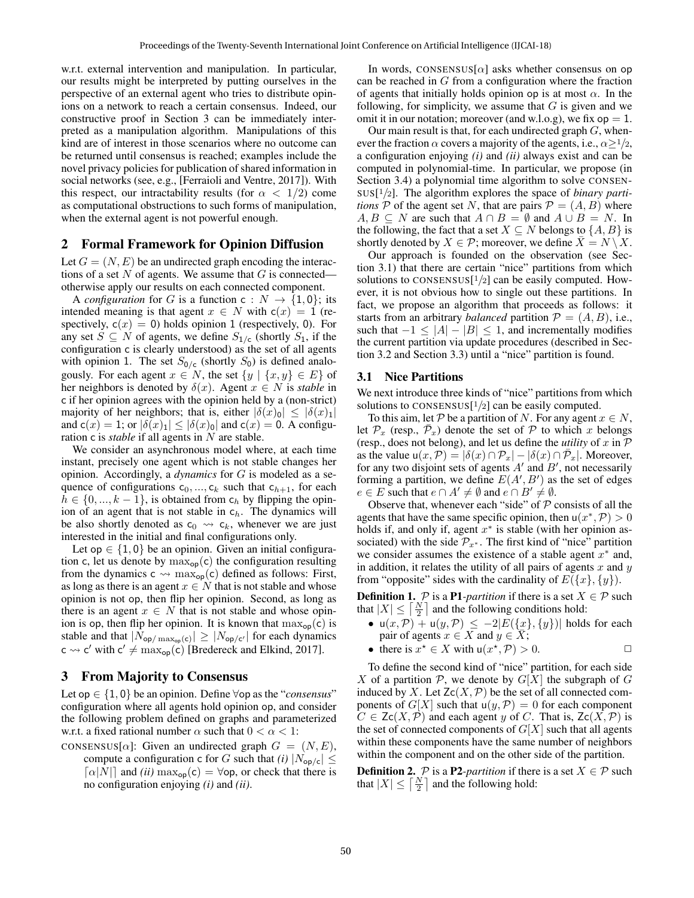w.r.t. external intervention and manipulation. In particular, our results might be interpreted by putting ourselves in the perspective of an external agent who tries to distribute opinions on a network to reach a certain consensus. Indeed, our constructive proof in Section 3 can be immediately interpreted as a manipulation algorithm. Manipulations of this kind are of interest in those scenarios where no outcome can be returned until consensus is reached; examples include the novel privacy policies for publication of shared information in social networks (see, e.g., [Ferraioli and Ventre, 2017]). With this respect, our intractability results (for  $\alpha < 1/2$ ) come as computational obstructions to such forms of manipulation, when the external agent is not powerful enough.

## 2 Formal Framework for Opinion Diffusion

Let  $G = (N, E)$  be an undirected graph encoding the interactions of a set  $N$  of agents. We assume that  $G$  is connected otherwise apply our results on each connected component.

A *configuration* for G is a function  $c: N \rightarrow \{1, 0\}$ ; its intended meaning is that agent  $x \in N$  with  $c(x) = 1$  (respectively,  $c(x) = 0$ ) holds opinion 1 (respectively, 0). For any set  $S \subseteq N$  of agents, we define  $S_{1/c}$  (shortly  $S_1$ , if the configuration c is clearly understood) as the set of all agents with opinion 1. The set  $S_{0/c}$  (shortly  $S_0$ ) is defined analogously. For each agent  $x \in N$ , the set  $\{y \mid \{x, y\} \in E\}$  of her neighbors is denoted by  $\delta(x)$ . Agent  $x \in N$  is *stable* in c if her opinion agrees with the opinion held by a (non-strict) majority of her neighbors; that is, either  $|\delta(x)_0| \leq |\delta(x)_1|$ and  $c(x) = 1$ ; or  $|\delta(x)_1| \leq |\delta(x)_0|$  and  $c(x) = 0$ . A configuration c is *stable* if all agents in N are stable.

We consider an asynchronous model where, at each time instant, precisely one agent which is not stable changes her opinion. Accordingly, a *dynamics* for G is modeled as a sequence of configurations  $c_0, ..., c_k$  such that  $c_{h+1}$ , for each  $h \in \{0, ..., k-1\}$ , is obtained from  $c_h$  by flipping the opinion of an agent that is not stable in  $c_h$ . The dynamics will be also shortly denoted as  $c_0 \leadsto c_k$ , whenever we are just interested in the initial and final configurations only.

Let op  $\in \{1, 0\}$  be an opinion. Given an initial configuration c, let us denote by  $\max_{op}(c)$  the configuration resulting from the dynamics  $c \leadsto \max_{op}(c)$  defined as follows: First, as long as there is an agent  $x \in N$  that is not stable and whose opinion is not op, then flip her opinion. Second, as long as there is an agent  $x \in N$  that is not stable and whose opinion is op, then flip her opinion. It is known that  $\max_{op}(c)$  is stable and that  $|N_{op/\max_{op}(c)}| \geq |N_{op/c'}|$  for each dynamics  $c \rightsquigarrow c'$  with  $c' \neq \max_{op}(c)$  [Bredereck and Elkind, 2017].

## 3 From Majority to Consensus

Let op  $\in \{1, 0\}$  be an opinion. Define  $\forall$ op as the "*consensus*" configuration where all agents hold opinion op, and consider the following problem defined on graphs and parameterized w.r.t. a fixed rational number  $\alpha$  such that  $0 < \alpha < 1$ :

- CONSENSUS[ $\alpha$ ]: Given an undirected graph  $G = (N, E)$ ,
	- compute a configuration c for G such that *(i)*  $|N_{op/c}| \le$  $\lceil \alpha |N| \rceil$  and *(ii)* max<sub>op</sub>(c) =  $\forall$ op, or check that there is no configuration enjoying *(i)* and *(ii)*.

In words, CONSENSUS[ $\alpha$ ] asks whether consensus on op can be reached in  $G$  from a configuration where the fraction of agents that initially holds opinion op is at most  $\alpha$ . In the following, for simplicity, we assume that  $G$  is given and we omit it in our notation; moreover (and w.l.o.g), we fix  $op = 1$ .

Our main result is that, for each undirected graph  $G$ , whenever the fraction  $\alpha$  covers a majority of the agents, i.e.,  $\alpha \geq 1/2$ , a configuration enjoying *(i)* and *(ii)* always exist and can be computed in polynomial-time. In particular, we propose (in Section 3.4) a polynomial time algorithm to solve CONSEN-SUS[ <sup>1</sup>/2]. The algorithm explores the space of *binary partitions*  $P$  of the agent set N, that are pairs  $P = (A, B)$  where  $A, B \subseteq N$  are such that  $A \cap B = \emptyset$  and  $A \cup B = N$ . In the following, the fact that a set  $X \subseteq N$  belongs to  $\{A, B\}$  is shortly denoted by  $X \in \mathcal{P}$ ; moreover, we define  $\overline{X} = N \setminus X$ .

Our approach is founded on the observation (see Section 3.1) that there are certain "nice" partitions from which solutions to CONSENSUS $[1/2]$  can be easily computed. However, it is not obvious how to single out these partitions. In fact, we propose an algorithm that proceeds as follows: it starts from an arbitrary *balanced* partition  $P = (A, B)$ , i.e., such that  $-1 \leq |A| - |B| \leq 1$ , and incrementally modifies the current partition via update procedures (described in Section 3.2 and Section 3.3) until a "nice" partition is found.

#### 3.1 Nice Partitions

We next introduce three kinds of "nice" partitions from which solutions to CONSENSUS $[1/2]$  can be easily computed.

To this aim, let P be a partition of N. For any agent  $x \in N$ , let  $\mathcal{P}_x$  (resp.,  $\bar{\mathcal{P}}_x$ ) denote the set of  $\mathcal P$  to which x belongs (resp., does not belong), and let us define the *utility* of  $x$  in  $P$ as the value  $u(x, \mathcal{P}) = |\delta(x) \cap \mathcal{P}_x| - |\delta(x) \cap \bar{\mathcal{P}}_x|$ . Moreover, for any two disjoint sets of agents  $A'$  and  $B'$ , not necessarily forming a partition, we define  $E(A', B')$  as the set of edges  $e \in E$  such that  $e \cap A' \neq \emptyset$  and  $e \cap B' \neq \emptyset$ .

Observe that, whenever each "side" of  $P$  consists of all the agents that have the same specific opinion, then  $u(x^*, P) > 0$ holds if, and only if, agent  $x^*$  is stable (with her opinion associated) with the side  $\mathcal{P}_{x^*}$ . The first kind of "nice" partition we consider assumes the existence of a stable agent  $x^*$  and, in addition, it relates the utility of all pairs of agents  $x$  and  $y$ from "opposite" sides with the cardinality of  $E({x}, {y})$ .

**Definition 1.**  $P$  is a **P1**-partition if there is a set  $X \in P$  such that  $|X| \leq \lceil \frac{N}{2} \rceil$  and the following conditions hold:

- $u(x, \mathcal{P}) + u(y, \mathcal{P}) \le -2|E(\{x\}, \{y\})|$  holds for each pair of agents  $x \in X$  and  $y \in \overline{X}$ ;
- there is  $x^* \in X$  with  $u(x^*, P) > 0$ .

To define the second kind of "nice" partition, for each side X of a partition  $P$ , we denote by  $G[X]$  the subgraph of G induced by X. Let  $Zc(X, \mathcal{P})$  be the set of all connected components of  $G[X]$  such that  $u(y, \mathcal{P}) = 0$  for each component  $C \in \text{Zc}(X, \mathcal{P})$  and each agent y of C. That is,  $\text{Zc}(X, \mathcal{P})$  is the set of connected components of  $G[X]$  such that all agents within these components have the same number of neighbors within the component and on the other side of the partition.

**Definition 2.**  $P$  is a **P2**-partition if there is a set  $X \in P$  such that  $|X| \leq \lceil \frac{N}{2} \rceil$  and the following hold: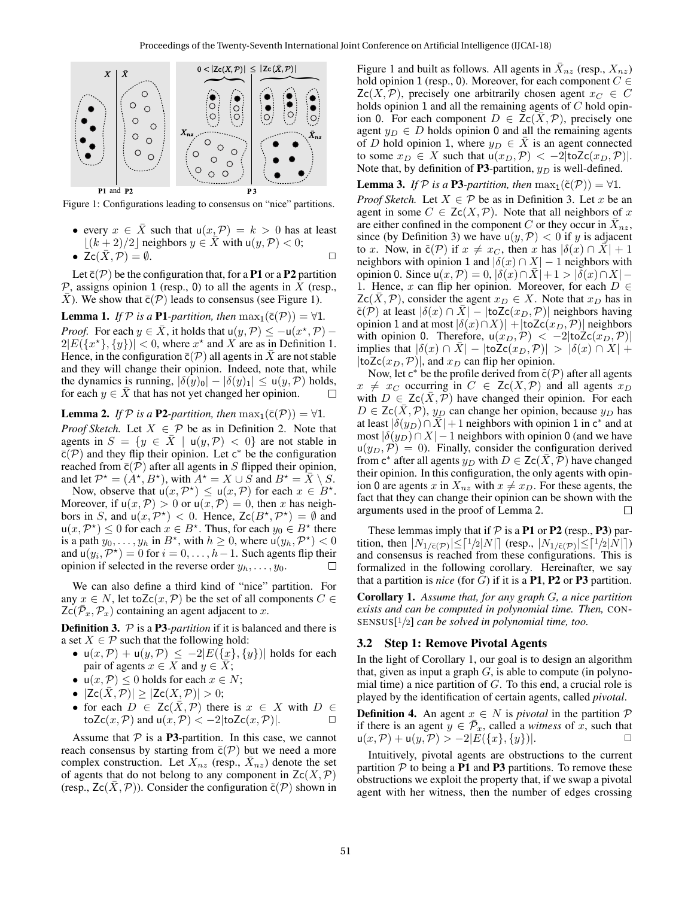

Figure 1: Configurations leading to consensus on "nice" partitions.

• every  $x \in \overline{X}$  such that  $u(x, \mathcal{P}) = k > 0$  has at least  $\lfloor (k + 2)/2 \rfloor$  neighbors  $y \in \overline{X}$  with  $u(y, \mathcal{P}) < 0$ ;

$$
\bullet \ \ \overline{Zc}(\bar{X},P)=\emptyset. \qquad \qquad \Box
$$

Let  $\bar{c}(\mathcal{P})$  be the configuration that, for a **P1** or a **P2** partition  $\mathcal P$ , assigns opinion 1 (resp., 0) to all the agents in X (resp.,  $\overline{X}$ ). We show that  $\overline{c}(\mathcal{P})$  leads to consensus (see Figure 1).

**Lemma 1.** *If*  $P$  *is a* **P1***-partition, then*  $\max_{1}(\bar{c}(P)) = \forall 1$ *. Proof.* For each  $y \in \overline{X}$ , it holds that  $u(y, \mathcal{P}) \le -u(x^*, \mathcal{P})$  $2|E({x<sup>*</sup>}, {y})| < 0$ , where  $x<sup>*</sup>$  and X are as in Definition 1. Hence, in the configuration  $\bar{c}(\mathcal{P})$  all agents in  $\bar{X}$  are not stable and they will change their opinion. Indeed, note that, while the dynamics is running,  $|\delta(y)_0| - |\delta(y)_1| \leq u(y, \mathcal{P})$  holds, for each  $y \in \overline{X}$  that has not yet changed her opinion.  $\Box$ 

**Lemma 2.** *If*  $P$  *is a* **P2***-partition, then*  $\max_{1}(\bar{c}(P)) = \forall 1$ *. Proof Sketch.* Let  $X \in \mathcal{P}$  be as in Definition 2. Note that agents in  $S = \{y \in \overline{X} \mid u(y, \mathcal{P}) < 0\}$  are not stable in  $\overline{c}(\mathcal{P})$  and they flip their opinion. Let  $c^*$  be the configuration reached from  $\bar{c}(\mathcal{P})$  after all agents in S flipped their opinion, and let  $\mathcal{P}^* = (\stackrel{\cdot}{A^*}, \stackrel{\cdot}{B^*})$ , with  $\stackrel{\cdot}{A^*} = X \cup \stackrel{\cdot}{S}$  and  $\stackrel{\cdot}{B^*} = \overline{X} \setminus S$ .

Now, observe that  $u(x, \mathcal{P}^*) \leq u(x, \mathcal{P})$  for each  $x \in \mathcal{B}^*$ . Moreover, if  $u(x, \mathcal{P}) > 0$  or  $u(x, \mathcal{P}) = 0$ , then x has neighbors in S, and  $u(x, \mathcal{P}^*)$  < 0. Hence,  $Zc(B^*, \mathcal{P}^*) = \emptyset$  and  $u(x, \mathcal{P}^{\star}) \leq 0$  for each  $x \in B^{\star}$ . Thus, for each  $y_0 \in B^{\star}$  there is a path  $y_0, \ldots, y_h$  in  $B^*$ , with  $h \geq 0$ , where  $u(y_h, \mathcal{P}^*) < 0$ and  $u(y_i, \mathcal{P}^*) = 0$  for  $i = 0, \ldots, h-1$ . Such agents flip their opinion if selected in the reverse order  $y_h, \ldots, y_0$ . П

We can also define a third kind of "nice" partition. For any  $x \in N$ , let toZc $(x, \mathcal{P})$  be the set of all components  $C \in$  $Zc(\bar{\mathcal{P}}_x, \mathcal{P}_x)$  containing an agent adjacent to x.

Definition 3. P is a P3*-partition* if it is balanced and there is a set  $X \in \mathcal{P}$  such that the following hold:

- $u(x, \mathcal{P}) + u(y, \mathcal{P}) \le -2|E(\{x\}, \{y\})|$  holds for each pair of agents  $x \in X$  and  $y \in X$ ;
- $u(x, \mathcal{P}) \leq 0$  holds for each  $x \in \mathbb{N}$ ;
- $|Zc(\bar{X}, P)| > |Zc(X, P)| > 0;$
- for each  $D \in \mathsf{Zc}(X, \mathcal{P})$  there is  $x \in X$  with  $D \in$ toZc(x, P) and  $u(x, P) < -2$ |toZc(x, P)|.

Assume that  $P$  is a P3-partition. In this case, we cannot reach consensus by starting from  $\bar{c}(\mathcal{P})$  but we need a more complex construction. Let  $X_{nz}$  (resp.,  $\bar{X}_{nz}$ ) denote the set of agents that do not belong to any component in  $Zc(X, \mathcal{P})$ (resp.,  $Zc(\overline{X}, \mathcal{P})$ ). Consider the configuration  $\tilde{c}(\mathcal{P})$  shown in

Figure 1 and built as follows. All agents in  $\bar{X}_{nz}$  (resp.,  $X_{nz}$ ) hold opinion 1 (resp., 0). Moreover, for each component  $C \in$  $Zc(X, \mathcal{P})$ , precisely one arbitrarily chosen agent  $x_C \in C$ holds opinion 1 and all the remaining agents of  $C$  hold opinion 0. For each component  $D \in \mathsf{Zc}(\bar{X}, \mathcal{P})$ , precisely one agent  $y_D \in D$  holds opinion 0 and all the remaining agents of D hold opinion 1, where  $y_D \in \overline{X}$  is an agent connected to some  $x_D \in X$  such that  $u(x_D, \mathcal{P}) < -2|\text{toZc}(x_D, \mathcal{P})|$ . Note that, by definition of P3-partition,  $y_D$  is well-defined.

**Lemma 3.** *If*  $P$  *is a* **P3***-partition, then*  $\max_1(\tilde{c}(P)) = \forall 1$ *. Proof Sketch.* Let  $X \in \mathcal{P}$  be as in Definition 3. Let x be an agent in some  $C \in \mathsf{Zc}(X, \mathcal{P})$ . Note that all neighbors of x are either confined in the component C or they occur in  $\bar{X}_{nz}$ , since (by Definition 3) we have  $u(y, \mathcal{P}) < 0$  if y is adjacent to x. Now, in  $\tilde{c}(\mathcal{P})$  if  $x \neq x_C$ , then x has  $|\delta(x) \cap \overline{X}| + 1$ neighbors with opinion 1 and  $|\delta(x) \cap X| - 1$  neighbors with opinion 0. Since  $u(x, \mathcal{P}) = 0$ ,  $|\delta(x) \cap \bar{X}| + 1 > |\bar{\delta}(x) \cap X|$  – 1. Hence, x can flip her opinion. Moreover, for each  $D \in$  $Zc(X, \mathcal{P})$ , consider the agent  $x_D \in X$ . Note that  $x_D$  has in  $\tilde{\mathsf{c}}(\mathcal{P})$  at least  $|\delta(x) \cap \bar{X}| - |\mathsf{toZc}(x_D, \mathcal{P})|$  neighbors having opinion 1 and at most  $|\delta(x) \cap X|$  +  $|$ toZc $(x_D, P)|$  neighbors with opinion 0. Therefore,  $u(x_D, \mathcal{P}) < -2|\text{toZc}(x_D, \mathcal{P})|$ implies that  $|\delta(x) \cap \overline{X}| - |\text{toZc}(x_D, \mathcal{P})| > |\delta(x) \cap X| +$  $|toZc(x_D,\mathcal{P})|$ , and  $x_D$  can flip her opinion.

Now, let  $c^*$  be the profile derived from  $\tilde{c}(\mathcal{P})$  after all agents  $x \neq x_C$  occurring in  $C \in \mathsf{Zc}(X,\mathcal{P})$  and all agents  $x_D$ with  $D \in \text{Zc}(\bar{X}, \bar{\mathcal{P}})$  have changed their opinion. For each  $D \in \text{Zc}(X, \mathcal{P})$ ,  $y_D$  can change her opinion, because  $y_D$  has at least  $|\delta(y_D) \cap \overline{X}| + 1$  neighbors with opinion 1 in c<sup>\*</sup> and at most  $|\delta(y_D) \cap X| - 1$  neighbors with opinion 0 (and we have  $u(y_D, P) = 0$ . Finally, consider the configuration derived from  $c^*$  after all agents  $y_D$  with  $D \in \text{Zc}(\bar{X}, \bar{\mathcal{P}})$  have changed their opinion. In this configuration, the only agents with opinion 0 are agents x in  $X_{nz}$  with  $x \neq x_D$ . For these agents, the fact that they can change their opinion can be shown with the arguments used in the proof of Lemma 2.  $\Box$ 

These lemmas imply that if  $P$  is a **P1** or **P2** (resp., **P3**) partition, then  $|N_{1/\bar{c}}(p)| \leq [1/2|N|]$  (resp.,  $|N_{1/\tilde{c}}(p)| \leq [1/2|N|]$ ) and consensus is reached from these configurations. This is formalized in the following corollary. Hereinafter, we say that a partition is *nice* (for  $G$ ) if it is a **P1**, **P2** or **P3** partition.

Corollary 1. *Assume that, for any graph* G*, a nice partition exists and can be computed in polynomial time. Then,* CON-SENSUS[ <sup>1</sup>/2] *can be solved in polynomial time, too.*

### 3.2 Step 1: Remove Pivotal Agents

In the light of Corollary 1, our goal is to design an algorithm that, given as input a graph  $G$ , is able to compute (in polynomial time) a nice partition of  $G$ . To this end, a crucial role is played by the identification of certain agents, called *pivotal*.

**Definition 4.** An agent  $x \in N$  is *pivotal* in the partition  $P$ if there is an agent  $y \in \bar{\mathcal{P}}_x$ , called a *witness* of x, such that  $u(x,\mathcal{P}) + u(y,\mathcal{P}) > -2|E({x}, {y})|$ .

Intuitively, pivotal agents are obstructions to the current partition  $P$  to being a **P1** and **P3** partitions. To remove these obstructions we exploit the property that, if we swap a pivotal agent with her witness, then the number of edges crossing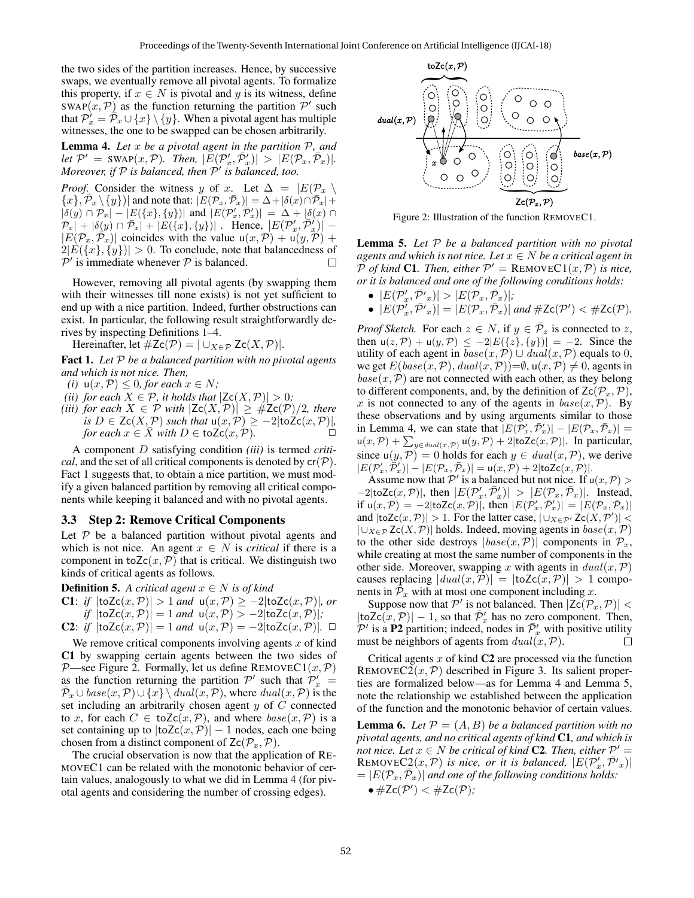the two sides of the partition increases. Hence, by successive swaps, we eventually remove all pivotal agents. To formalize this property, if  $x \in N$  is pivotal and y is its witness, define  $\text{SWAP}(x, \mathcal{P})$  as the function returning the partition  $\mathcal{P}'$  such that  $\mathcal{P}_x^{\prime} = \mathcal{P}_x \cup \{x\} \setminus \{y\}$ . When a pivotal agent has multiple witnesses, the one to be swapped can be chosen arbitrarily.

Lemma 4. *Let* x *be a pivotal agent in the partition* P*, and let*  $\mathcal{P}' = \text{SWAP}(x, \mathcal{P})$ *. Then,*  $|\overset{\sim}{E}(\mathcal{P}'_x, \bar{\mathcal{P}}'_x)|^2 > |E(\mathcal{P}_x, \bar{\mathcal{P}}_x)|$ *. Moreover, if* P *is balanced, then* P 0 *is balanced, too.*

*Proof.* Consider the witness y of x. Let  $\Delta = |E(\mathcal{P}_x)|$  $\{x\}$ ,  $\overline{P}_x \setminus \{y\}$  and note that:  $|E(\mathcal{P}_x, \overline{\mathcal{P}}_x)| = \Delta + |\delta(x) \cap \overline{P}_x| +$  $|\delta(y) \cap \mathcal{P}_x| - |E(\lbrace x \rbrace, \lbrace y \rbrace)|$  and  $|E(\mathcal{P}'_x, \mathcal{P}'_x)| = \Delta + |\delta(x) \cap$  $\mathcal{P}_x$  +  $|\delta(y) \cap \overline{\mathcal{P}}_x|$  +  $|E(\lbrace x \rbrace, \lbrace y \rbrace)|$  . Hence,  $|E(\mathcal{P}'_x, \overline{\mathcal{P}}'_x)|$  –  $|E(\mathcal{P}_x, \vec{\mathcal{P}}_x)|$  coincides with the value  $u(x, \mathcal{P}) + u(y, \mathcal{P}) +$  $2|E({x}, {y})| > 0$ . To conclude, note that balancedness of  $\mathcal{P}'$  is immediate whenever  $\mathcal P$  is balanced. П

However, removing all pivotal agents (by swapping them with their witnesses till none exists) is not yet sufficient to end up with a nice partition. Indeed, further obstructions can exist. In particular, the following result straightforwardly derives by inspecting Definitions 1–4.

Hereinafter, let  $\#Zc(\mathcal{P}) = |\cup_{X \in \mathcal{P}} Zc(X, \mathcal{P})|$ .

Fact 1. *Let* P *be a balanced partition with no pivotal agents and which is not nice. Then,*

- *(i)*  $u(x, \mathcal{P}) \leq 0$ , for each  $x \in N$ ;
- *(ii) for each*  $X \in \mathcal{P}$ *, it holds that*  $|Zc(X, \mathcal{P})| > 0$ *;*
- *(iii) for each*  $X \in \mathcal{P}$  *with*  $|Zc(X, \mathcal{P})| \geq #Zc(\mathcal{P})/2$ *, there is*  $D \in \mathsf{Zc}(X, \mathcal{P})$  *such that*  $u(x, \mathcal{P}) \ge -2|\text{toZc}(x, \mathcal{P})|$ *, for each*  $x \in X$  *with*  $D \in \text{toZc}(x,\mathcal{P})$ *.*  $\Box$

A component D satisfying condition *(iii)* is termed *critical*, and the set of all critical components is denoted by  $cr(P)$ . Fact 1 suggests that, to obtain a nice partition, we must modify a given balanced partition by removing all critical components while keeping it balanced and with no pivotal agents.

#### 3.3 Step 2: Remove Critical Components

Let  $P$  be a balanced partition without pivotal agents and which is not nice. An agent  $x \in N$  is *critical* if there is a component in to $Zc(x, P)$  that is critical. We distinguish two kinds of critical agents as follows.

**Definition 5.** *A critical agent*  $x \in N$  *is of kind* 

- C1: *if*  $|$ toZc $(x, P)| > 1$  *and*  $u(x, P) \ge -2$ |toZc $(x, P)|$ *, or if*  $|$ toZc $(x, P)| = 1$  *and*  $u(x, P) > -2$ |toZc $(x, P)|$ *;*
- C2: *if*  $|$ toZc $(x, P)$  $|$  = 1 *and*  $u(x, P)$  = −2 $|$ toZc $(x, P)$  $|$ . □

We remove critical components involving agents  $x$  of kind C1 by swapping certain agents between the two sides of P—see Figure 2. Formally, let us define REMOVEC1 $(x, P)$ as the function returning the partition  $\mathcal{P}'$  such that  $\mathcal{P}'_x$  =  $\overline{\mathcal{P}}_x \cup base(x, \mathcal{P}) \cup \{x\} \setminus \overline{dual(x, \mathcal{P})}$ , where  $dual(x, \mathcal{P})$  is the set including an arbitrarily chosen agent  $y$  of  $C$  connected to x, for each  $C \in \text{toZc}(x, \mathcal{P})$ , and where  $base(x, \mathcal{P})$  is a set containing up to  $|toZc(x,\mathcal{P})| - 1$  nodes, each one being chosen from a distinct component of  $Zc(\mathcal{P}_x,\mathcal{P})$ .

The crucial observation is now that the application of RE-MOVEC1 can be related with the monotonic behavior of certain values, analogously to what we did in Lemma 4 (for pivotal agents and considering the number of crossing edges).



Figure 2: Illustration of the function REMOVEC1.

Lemma 5. *Let* P *be a balanced partition with no pivotal agents and which is not nice. Let*  $x \in N$  *be a critical agent in*  $\overline{P}$  *of kind* C1. Then, either  $P' =$  REMOVEC1(x, P) is nice, *or it is balanced and one of the following conditions holds:*

•  $|E(\mathcal{P}_x', \bar{\mathcal{P}}'_x)| > |E(\mathcal{P}_x, \bar{\mathcal{P}}_x)|;$ •  $|E(\mathcal{P}_x', \bar{\mathcal{P}}'_{x})| = |E(\mathcal{P}_x, \bar{\mathcal{P}}_x)|$  and  $\#Zc(\mathcal{P}') < \#Zc(\mathcal{P})$ .

*Proof Sketch.* For each  $z \in N$ , if  $y \in \overline{P}_z$  is connected to z, then  $u(z, \mathcal{P}) + u(y, \mathcal{P}) \le -2|E({z}, {y})| = -2$ . Since the utility of each agent in  $base(x, \mathcal{P}) \cup dual(x, \mathcal{P})$  equals to 0, we get  $E(\text{base}(x, \mathcal{P}), \text{dual}(x, \mathcal{P})) = \emptyset$ ,  $u(x, \mathcal{P}) \neq 0$ , agents in  $base(x, P)$  are not connected with each other, as they belong to different components, and, by the definition of  $\mathsf{Zc}(\mathcal{P}_x,\mathcal{P}),$ x is not connected to any of the agents in  $base(x, \mathcal{P})$ . By these observations and by using arguments similar to those in Lemma 4, we can state that  $|E(\overline{P}_x', \overline{P}_x')| - |E(\overline{P}_x, \overline{P}_x)| =$  $u(x, \mathcal{P}) + \sum_{y \in dual(x, \mathcal{P})} u(y, \mathcal{P}) + 2|\text{toZc}(x, \mathcal{P})|$ . In particular, since  $u(y, P) = 0$  holds for each  $y \in dual(x, P)$ , we derive  $|E(\mathcal{P}_x', \tilde{\mathcal{P}}_x')| - |E(\mathcal{P}_x, \bar{\mathcal{P}}_x)| = \mathsf{u}(x, \mathcal{P}) + 2 |\texttt{toZc}(x, \mathcal{P})|.$ 

Assume now that P' is a balanced but not nice. If  $u(x, P)$  >  $-2|\text{toZc}(x,\mathcal{P})|$ , then  $|E(\mathcal{P}_x', \bar{\mathcal{P}}_x')| > |E(\mathcal{P}_x, \bar{\mathcal{P}}_x)|$ . Instead, if  $u(x,\mathcal{P}) = -2|\text{toZc}(x,\mathcal{P})|$ , then  $|E(\mathcal{P}_x', \overline{\mathcal{P}}_x')| = |E(\mathcal{P}_x, \overline{\mathcal{P}}_x)|$ and  $|\text{toZc}(x, P)| > 1$ . For the latter case,  $|\cup_{X \in P'} \text{Zc}(X, P')|$  <  $|\cup_{X\in\mathcal{P}} Zc(X,\mathcal{P})|$  holds. Indeed, moving agents in  $base(x,\mathcal{P})$ to the other side destroys  $|base(x, P)|$  components in  $P_x$ , while creating at most the same number of components in the other side. Moreover, swapping x with agents in  $dual(x, P)$ causes replacing  $|dual(x, P)| = |toZc(x, P)| > 1$  components in  $\bar{\mathcal{P}}_x$  with at most one component including x.

Suppose now that  $P'$  is not balanced. Then  $|Zc(\mathcal{P}_x,\mathcal{P})|$  <  $|\text{toZc}(x,\mathcal{P})| - 1$ , so that  $\overline{\mathcal{P}}'_x$  has no zero component. Then,  $\mathcal{P}'$  is a P2 partition; indeed, nodes in  $\bar{\mathcal{P}}'_{x}$  with positive utility must be neighbors of agents from  $dual(x, P)$ .

Critical agents  $x$  of kind  $C2$  are processed via the function REMOVEC2 $(x, P)$  described in Figure 3. Its salient properties are formalized below—as for Lemma 4 and Lemma 5, note the relationship we established between the application of the function and the monotonic behavior of certain values.

**Lemma 6.** Let  $P = (A, B)$  be a balanced partition with no *pivotal agents, and no critical agents of kind* C1*, and which is*  $\tilde{p}$  *not nice. Let*  $x \in N$  *be critical of kind* **C2**. Then, either  $\mathcal{P}' =$ REMOVEC $2(x, P)$  is nice, or it is balanced,  $|E(\mathcal{P}_x', \overline{\mathcal{P}'}_x)|$  $= |E(\mathcal{P}_x, \bar{\mathcal{P}}_x)|$  and one of the following conditions holds:  $\bullet \#Zc(\mathcal{P}') < \#Zc(\mathcal{P});$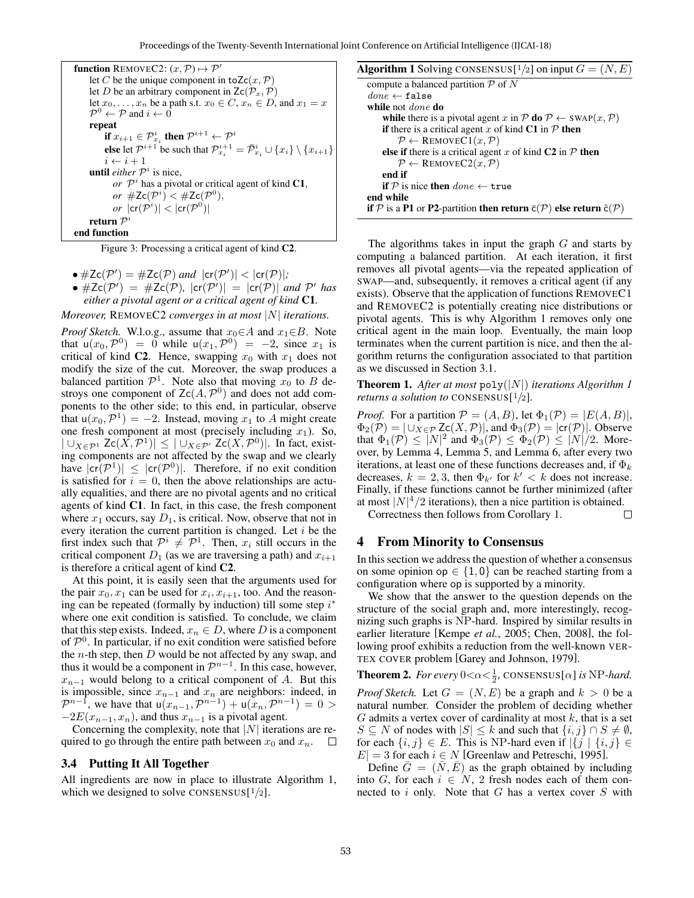| <b>function</b> REMOVEC2: $(x, \mathcal{P}) \mapsto \mathcal{P}'$                                                                               |
|-------------------------------------------------------------------------------------------------------------------------------------------------|
| let C be the unique component in to $Zc(x, P)$                                                                                                  |
| let D be an arbitrary component in $\mathsf{Zc}(\mathcal{P}_x, \mathcal{P})$                                                                    |
| let $x_0, \ldots, x_n$ be a path s.t. $x_0 \in C$ , $x_n \in D$ , and $x_1 = x$                                                                 |
| $\mathcal{P}^0 \leftarrow \mathcal{P}$ and $i \leftarrow 0$                                                                                     |
| repeat                                                                                                                                          |
| if $x_{i+1} \in \mathcal{P}_{x_i}^i$ then $\mathcal{P}^{i+1} \leftarrow \mathcal{P}^i$                                                          |
| <b>else</b> let $\mathcal{P}^{i+1}$ be such that $\mathcal{P}^{i+1}_{x_i} = \overline{\mathcal{P}}^i_{x_i} \cup \{x_i\} \setminus \{x_{i+1}\}\$ |
| $i \leftarrow i + 1$                                                                                                                            |
| until either $\mathcal{P}^i$ is nice,                                                                                                           |
| or $\mathcal{P}^i$ has a pivotal or critical agent of kind C1,                                                                                  |
| or $\#Zc(\mathcal{P}^i) < \#Zc(\mathcal{P}^0)$ ,                                                                                                |
| or $ cr(\mathcal{P}^i)  <  cr(\mathcal{P}^0) $                                                                                                  |
| return $\mathcal{P}^i$                                                                                                                          |
| end function                                                                                                                                    |
|                                                                                                                                                 |

Figure 3: Processing a critical agent of kind C2.

• 
$$
\#Zc(\mathcal{P}') = \#Zc(\mathcal{P})
$$
 and  $|cr(\mathcal{P}')| < |cr(\mathcal{P})|$ ;

• 
$$
\#Zc(\mathcal{P}') = \#Zc(\mathcal{P}), |cr(\mathcal{P}')| = |cr(\mathcal{P})|
$$
 and  $\mathcal{P}'$  has either a pivotal agent or a critical agent of kind C1.

*Moreover,* REMOVEC2 *converges in at most* |N| *iterations.*

*Proof Sketch.* W.l.o.g., assume that  $x_0 \in A$  and  $x_1 \in B$ . Note that  $u(x_0, \mathcal{P}^0) = 0$  while  $u(x_1, \mathcal{P}^0) = -2$ , since  $x_1$  is critical of kind C2. Hence, swapping  $x_0$  with  $x_1$  does not modify the size of the cut. Moreover, the swap produces a balanced partition  $\mathcal{P}^1$ . Note also that moving  $x_0$  to B destroys one component of  $Zc(A, \mathcal{P}^0)$  and does not add components to the other side; to this end, in particular, observe that  $u(x_0, \mathcal{P}^1) = -2$ . Instead, moving  $x_1$  to A might create one fresh component at most (precisely including  $x_1$ ). So,  $|\bigcup_{X \in \mathcal{P}^1} Zc(X, \mathcal{P}^1)| \leq |\bigcup_{X \in \mathcal{P}'} Zc(X, \mathcal{P}^0)|$ . In fact, existing components are not affected by the swap and we clearly have  $|cr(\mathcal{P}^1)| \leq |cr(\mathcal{P}^0)|$ . Therefore, if no exit condition is satisfied for  $i = 0$ , then the above relationships are actually equalities, and there are no pivotal agents and no critical agents of kind C1. In fact, in this case, the fresh component where  $x_1$  occurs, say  $D_1$ , is critical. Now, observe that not in every iteration the current partition is changed. Let  $i$  be the first index such that  $\mathcal{P}^i \neq \mathcal{P}^1$ . Then,  $x_i$  still occurs in the critical component  $D_1$  (as we are traversing a path) and  $x_{i+1}$ is therefore a critical agent of kind C2.

At this point, it is easily seen that the arguments used for the pair  $x_0, x_1$  can be used for  $x_i, x_{i+1}$ , too. And the reasoning can be repeated (formally by induction) till some step  $i^*$ where one exit condition is satisfied. To conclude, we claim that this step exists. Indeed,  $x_n \in D$ , where D is a component of  $\mathcal{P}^0$ . In particular, if no exit condition were satisfied before the  $n$ -th step, then  $D$  would be not affected by any swap, and thus it would be a component in  $\mathcal{P}^{n-1}$ . In this case, however,  $x_{n-1}$  would belong to a critical component of A. But this is impossible, since  $x_{n-1}$  and  $x_n$  are neighbors: indeed, in  $\mathcal{P}^{n-1}$ , we have that  $u(x_{n-1}, \mathcal{P}^{n-1}) + u(x_n, \mathcal{P}^{n-1}) = 0$  $-2E(x_{n-1}, x_n)$ , and thus  $x_{n-1}$  is a pivotal agent.

Concerning the complexity, note that  $|N|$  iterations are required to go through the entire path between  $x_0$  and  $x_n$ .  $\Box$ 

#### 3.4 Putting It All Together

All ingredients are now in place to illustrate Algorithm 1, which we designed to solve CONSENSUS $[1/2]$ .

|  |  | <b>Algorithm 1</b> Solving CONSENSUS[ $\frac{1}{2}$ ] on input $G = (N, E)$ |  |  |  |  |
|--|--|-----------------------------------------------------------------------------|--|--|--|--|
|--|--|-----------------------------------------------------------------------------|--|--|--|--|

| compute a balanced partition $P$ of N                                                                |
|------------------------------------------------------------------------------------------------------|
| $done \leftarrow false$                                                                              |
| while not <i>done</i> do                                                                             |
| while there is a pivotal agent x in P do $P \leftarrow \text{SWAP}(x, P)$                            |
| <b>if</b> there is a critical agent x of kind C1 in $\mathcal{P}$ then                               |
| $P \leftarrow$ REMOVEC1 $(x, P)$                                                                     |
| <b>else if</b> there is a critical agent x of kind $C2$ in P then                                    |
| $\mathcal{P} \leftarrow$ REMOVEC2 $(x, \mathcal{P})$                                                 |
| end if                                                                                               |
| <b>if</b> P is nice then $done \leftarrow \text{true}$                                               |
| end while                                                                                            |
| if P is a P1 or P2-partition then return $\bar{c}(\mathcal{P})$ else return $\tilde{c}(\mathcal{P})$ |
|                                                                                                      |

The algorithms takes in input the graph  $G$  and starts by computing a balanced partition. At each iteration, it first removes all pivotal agents—via the repeated application of SWAP—and, subsequently, it removes a critical agent (if any exists). Observe that the application of functions REMOVEC1 and REMOVEC2 is potentially creating nice distributions or pivotal agents. This is why Algorithm 1 removes only one critical agent in the main loop. Eventually, the main loop terminates when the current partition is nice, and then the algorithm returns the configuration associated to that partition as we discussed in Section 3.1.

Theorem 1. *After at most* poly(|N|) *iterations Algorithm 1 returns a solution to* CONSENSUS[ <sup>1</sup>/2]*.*

*Proof.* For a partition  $P = (A, B)$ , let  $\Phi_1(\mathcal{P}) = |E(A, B)|$ ,  $\Phi_2(\mathcal{P}) = |\bigcup_{X \in \mathcal{P}} Zc(X, \mathcal{P})|$ , and  $\Phi_3(\mathcal{P}) = |cr(\mathcal{P})|$ . Observe that  $\Phi_1(\mathcal{P}) \leq |N|^2$  and  $\Phi_3(\mathcal{P}) \leq \Phi_2(\mathcal{P}) \leq |N|/2$ . Moreover, by Lemma 4, Lemma 5, and Lemma 6, after every two iterations, at least one of these functions decreases and, if  $\Phi_k$ decreases,  $k = 2, 3$ , then  $\Phi_{k'}$  for  $k' < k$  does not increase. Finally, if these functions cannot be further minimized (after at most  $|N|^4/2$  iterations), then a nice partition is obtained.

Correctness then follows from Corollary 1. П

## 4 From Minority to Consensus

In this section we address the question of whether a consensus on some opinion op  $\in \{1, 0\}$  can be reached starting from a configuration where op is supported by a minority.

We show that the answer to the question depends on the structure of the social graph and, more interestingly, recognizing such graphs is NP-hard. Inspired by similar results in earlier literature [Kempe *et al.*, 2005; Chen, 2008], the following proof exhibits a reduction from the well-known VER-TEX COVER problem [Garey and Johnson, 1979].

**Theorem 2.** *For every*  $0 < \alpha < \frac{1}{2}$ , CONSENSUS[ $\alpha$ ] *is* NP*-hard.* 

*Proof Sketch.* Let  $G = (N, E)$  be a graph and  $k > 0$  be a natural number. Consider the problem of deciding whether  $G$  admits a vertex cover of cardinality at most  $k$ , that is a set  $S \subseteq N$  of nodes with  $|S| \leq k$  and such that  $\{i, j\} \cap S \neq \emptyset$ , for each  $\{i, j\} \in E$ . This is NP-hard even if  $|\{j | \{i, j\} \in E\}|$  $|E| = 3$  for each  $i \in N$  [Greenlaw and Petreschi, 1995].

Define  $\overline{G} = (N, E)$  as the graph obtained by including into G, for each  $i \in N$ , 2 fresh nodes each of them connected to  $i$  only. Note that  $G$  has a vertex cover  $S$  with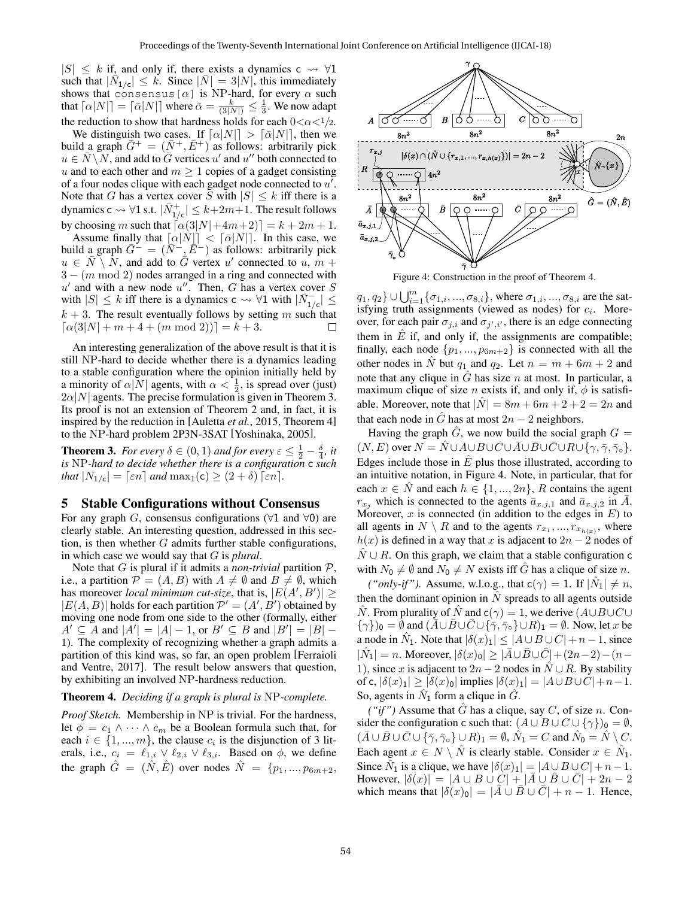$|S| \leq k$  if, and only if, there exists a dynamics c  $\rightsquigarrow \forall 1$ such that  $|\bar{\dot{N}}_{1/c}| \leq k$ . Since  $|\bar{N}| = 3|N|$ , this immediately shows that consensus[ $\alpha$ ] is NP-hard, for every  $\alpha$  such that  $\lceil \alpha |N|\rceil = \lceil \bar{\alpha}|N|\rceil$  where  $\bar{\alpha} = \frac{k}{(3|N|)} \leq \frac{1}{3}$ . We now adapt the reduction to show that hardness holds for each  $0 < \alpha < 1/2$ .

We distinguish two cases. If  $\lceil \alpha|N| \rceil > \lceil \bar{\alpha}|N| \rceil$ , then we build a graph  $G^+ = (N^+, E^+)$  as follows: arbitrarily pick  $u \in \overline{N} \setminus \overline{N}$ , and add to  $\overline{G}$  vertices u' and u'' both connected to u and to each other and  $m \geq 1$  copies of a gadget consisting of a four nodes clique with each gadget node connected to  $u'$ . Note that G has a vertex cover S with  $|S| \leq k$  iff there is a dynamics c  $\rightsquigarrow$   $\forall$ 1 s.t.  $|\bar{N}_{1/c}^+| \leq k+2m+1.$  The result follows by choosing m such that  $\left[\alpha(3|N|+4m+2)\right] = k + 2m + 1$ .

Assume finally that  $\lceil \alpha |N| \rceil < \lceil \overline{\alpha} |N| \rceil$ . In this case, we build a graph  $\bar{G}^- = (\bar{N}^-, \bar{E}^-)$  as follows: arbitrarily pick  $u \in \overline{N} \setminus N$ , and add to  $\overline{G}$  vertex u' connected to u,  $\overline{m}$  +  $3 - (m \mod 2)$  nodes arranged in a ring and connected with  $u'$  and with a new node  $u''$ . Then, G has a vertex cover S with  $|S| \leq k$  iff there is a dynamics c  $\rightsquigarrow \forall 1$  with  $|\bar{N}_{1/c}| \leq$  $k + 3$ . The result eventually follows by setting m such that  $\lceil \alpha(3|N| + m + 4 + (m \mod 2)) \rceil = k + 3.$  $\Box$ 

An interesting generalization of the above result is that it is still NP-hard to decide whether there is a dynamics leading to a stable configuration where the opinion initially held by a minority of  $\alpha |N|$  agents, with  $\alpha < \frac{1}{2}$ , is spread over (just)  $2\alpha|N|$  agents. The precise formulation is given in Theorem 3. Its proof is not an extension of Theorem 2 and, in fact, it is inspired by the reduction in [Auletta *et al.*, 2015, Theorem 4] to the NP-hard problem 2P3N-3SAT [Yoshinaka, 2005].

**Theorem 3.** *For every*  $\delta \in (0,1)$  *and for every*  $\epsilon \leq \frac{1}{2} - \frac{\delta}{4}$ *, it is* NP*-hard to decide whether there is a configuration* c *such that*  $|N_{1/c}| = \lceil \varepsilon n \rceil$  *and*  $\max_1(c) \geq (2 + \delta) \lceil \varepsilon n \rceil$ *.* 

### 5 Stable Configurations without Consensus

For any graph G, consensus configurations ( $\forall$ 1 and  $\forall$ 0) are clearly stable. An interesting question, addressed in this section, is then whether  $G$  admits further stable configurations, in which case we would say that G is *plural*.

Note that  $G$  is plural if it admits a *non-trivial* partition  $P$ , i.e., a partition  $\mathcal{P} = (A, B)$  with  $A \neq \emptyset$  and  $B \neq \emptyset$ , which has moreover *local minimum cut-size*, that is,  $|E(A', B')| \ge$  $|E(A, B)|$  holds for each partition  $\mathcal{P}' = (A', B')$  obtained by moving one node from one side to the other (formally, either  $A' \subseteq A$  and  $|A'| = |A| - 1$ , or  $B' \subseteq B$  and  $|B'| = |B| -$ 1). The complexity of recognizing whether a graph admits a partition of this kind was, so far, an open problem [Ferraioli and Ventre, 2017]. The result below answers that question, by exhibiting an involved NP-hardness reduction.

#### Theorem 4. *Deciding if a graph is plural is* NP*-complete.*

*Proof Sketch.* Membership in NP is trivial. For the hardness, let  $\phi = c_1 \wedge \cdots \wedge c_m$  be a Boolean formula such that, for each  $i \in \{1, ..., m\}$ , the clause  $c_i$  is the disjunction of 3 literals, i.e.,  $c_i = \ell_{1,i} \vee \ell_{2,i} \vee \ell_{3,i}$ . Based on  $\phi$ , we define the graph  $\hat{G} = (\hat{N}, \hat{E})$  over nodes  $\hat{N} = \{p_1, ..., p_{6m+2},\}$ 



Figure 4: Construction in the proof of Theorem 4.

 $q_1, q_2\} \cup \bigcup_{i=1}^m \{\sigma_{1,i}, ..., \sigma_{8,i}\}$ , where  $\sigma_{1,i}, ..., \sigma_{8,i}$  are the satisfying truth assignments (viewed as nodes) for  $c_i$ . Moreover, for each pair  $\sigma_{j,i}$  and  $\sigma_{j',i'}$ , there is an edge connecting them in  $\hat{E}$  if, and only if, the assignments are compatible; finally, each node  $\{p_1, ..., p_{6m+2}\}\$ is connected with all the other nodes in  $\hat{N}$  but  $q_1$  and  $q_2$ . Let  $n = m + 6m + 2$  and note that any clique in  $\hat{G}$  has size n at most. In particular, a maximum clique of size *n* exists if, and only if,  $\phi$  is satisfiable. Moreover, note that  $|\hat{N}| = 8m + 6m + 2 + 2 = 2n$  and that each node in  $\tilde{G}$  has at most  $2n - 2$  neighbors.

Having the graph  $\hat{G}$ , we now build the social graph  $G =$  $(N, E)$  over  $N = \hat{N} \cup A \cup B \cup C \cup \overline{A} \cup \overline{B} \cup \overline{C} \cup R \cup \{ \gamma, \overline{\gamma}, \overline{\gamma}_0 \}.$ Edges include those in  $\hat{E}$  plus those illustrated, according to an intuitive notation, in Figure 4. Note, in particular, that for each  $x \in \hat{N}$  and each  $h \in \{1, ..., 2n\}$ , R contains the agent  $r_{x_j}$  which is connected to the agents  $\bar{a}_{x,j,1}$  and  $\bar{a}_{x,j,2}$  in A. Moreover,  $x$  is connected (in addition to the edges in  $E$ ) to all agents in  $N \setminus R$  and to the agents  $r_{x_1}, ..., r_{x_{h(x)}}$ , where  $h(x)$  is defined in a way that x is adjacent to  $2n - 2$  nodes of  $N \cup R$ . On this graph, we claim that a stable configuration c with  $N_0 \neq \emptyset$  and  $N_0 \neq N$  exists iff G has a clique of size n.

*("only-if").* Assume, w.l.o.g., that  $c(\gamma) = 1$ . If  $|\hat{N}_1| \neq n$ , then the dominant opinion in  $N$  spreads to all agents outside  $\hat{N}$ . From plurality of  $\hat{N}$  and  $c(\gamma) = 1$ , we derive  $(A \cup B \cup C \cup$  ${\{\gamma\}}_0 = \emptyset$  and  $({\overline{A}} \cup {\overline{B}} \cup {\overline{C}} \cup {\{\overline{\gamma}, \overline{\gamma}_0\}} \cup R)_1 = \emptyset$ . Now, let x be a node in  $\hat{N}_1$ . Note that  $|\delta(x)_1| \leq |A \cup B \cup C| + n - 1$ , since  $|\hat{N}_1| = n$ . Moreover,  $|\delta(x)_0| \geq |\bar{A} \cup \bar{B} \cup \bar{C}| + (2n-2) - (n-1)$ 1), since x is adjacent to  $2n - 2$  nodes in  $\hat{N} \cup R$ . By stability of c,  $|\delta(x)_1| \ge |\delta(x)_0|$  implies  $|\delta(x)_1| = |A \cup B \cup C| + n - 1$ . So, agents in  $\hat{N}_1$  form a clique in  $\hat{G}$ .

*("if")* Assume that  $\hat{G}$  has a clique, say C, of size n. Consider the configuration c such that:  $(A \cup B \cup C \cup \{\gamma\})_0 = \emptyset$ ,  $(\bar{A} \cup \bar{B} \cup \bar{C} \cup {\{\bar{\gamma}, \bar{\gamma}_0\}} \cup R)_1 = \emptyset$ ,  $\hat{N}_1 = C$  and  $\hat{N}_0 = \hat{N} \setminus C$ . Each agent  $x \in N \setminus \hat{N}$  is clearly stable. Consider  $x \in \hat{N}_1$ . Since  $\hat{N}_1$  is a clique, we have  $|\delta(x)_1| = |A \cup B \cup C| + n - 1$ . However,  $|\delta(x)| = |A \cup B \cup C| + |\bar{A} \cup \bar{B} \cup \bar{C}| + 2n - 2$ which means that  $|\delta(x)_0| = |\bar{A} \cup \bar{B} \cup \bar{C}| + n - 1$ . Hence,